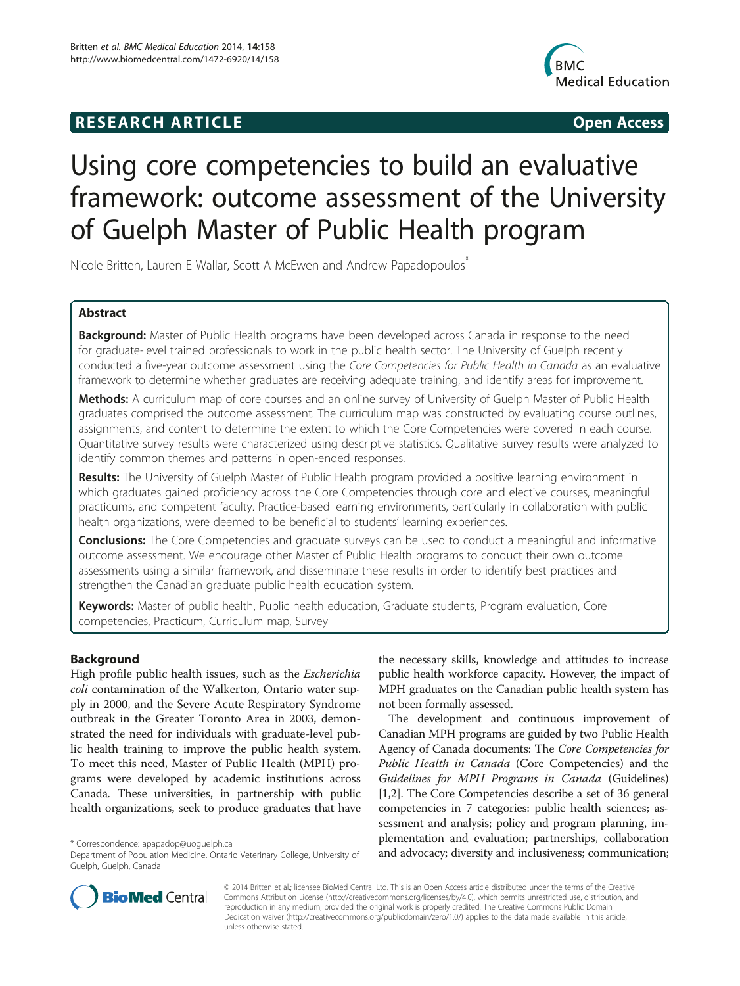# **RESEARCH ARTICLE Example 2018 12:00 Open Access**



# Using core competencies to build an evaluative framework: outcome assessment of the University of Guelph Master of Public Health program

Nicole Britten, Lauren E Wallar, Scott A McEwen and Andrew Papadopoulos<sup>\*</sup>

# Abstract

Background: Master of Public Health programs have been developed across Canada in response to the need for graduate-level trained professionals to work in the public health sector. The University of Guelph recently conducted a five-year outcome assessment using the Core Competencies for Public Health in Canada as an evaluative framework to determine whether graduates are receiving adequate training, and identify areas for improvement.

Methods: A curriculum map of core courses and an online survey of University of Guelph Master of Public Health graduates comprised the outcome assessment. The curriculum map was constructed by evaluating course outlines, assignments, and content to determine the extent to which the Core Competencies were covered in each course. Quantitative survey results were characterized using descriptive statistics. Qualitative survey results were analyzed to identify common themes and patterns in open-ended responses.

Results: The University of Guelph Master of Public Health program provided a positive learning environment in which graduates gained proficiency across the Core Competencies through core and elective courses, meaningful practicums, and competent faculty. Practice-based learning environments, particularly in collaboration with public health organizations, were deemed to be beneficial to students' learning experiences.

**Conclusions:** The Core Competencies and graduate surveys can be used to conduct a meaningful and informative outcome assessment. We encourage other Master of Public Health programs to conduct their own outcome assessments using a similar framework, and disseminate these results in order to identify best practices and strengthen the Canadian graduate public health education system.

Keywords: Master of public health, Public health education, Graduate students, Program evaluation, Core competencies, Practicum, Curriculum map, Survey

# Background

High profile public health issues, such as the Escherichia coli contamination of the Walkerton, Ontario water supply in 2000, and the Severe Acute Respiratory Syndrome outbreak in the Greater Toronto Area in 2003, demonstrated the need for individuals with graduate-level public health training to improve the public health system. To meet this need, Master of Public Health (MPH) programs were developed by academic institutions across Canada. These universities, in partnership with public health organizations, seek to produce graduates that have the necessary skills, knowledge and attitudes to increase public health workforce capacity. However, the impact of MPH graduates on the Canadian public health system has not been formally assessed.

The development and continuous improvement of Canadian MPH programs are guided by two Public Health Agency of Canada documents: The Core Competencies for Public Health in Canada (Core Competencies) and the Guidelines for MPH Programs in Canada (Guidelines) [[1,2\]](#page-5-0). The Core Competencies describe a set of 36 general competencies in 7 categories: public health sciences; assessment and analysis; policy and program planning, implementation and evaluation; partnerships, collaboration and advocacy; diversity and inclusiveness; communication; \* Correspondence: [apapadop@uoguelph.ca](mailto:apapadop@uoguelph.ca)



© 2014 Britten et al.; licensee BioMed Central Ltd. This is an Open Access article distributed under the terms of the Creative Commons Attribution License [\(http://creativecommons.org/licenses/by/4.0\)](http://creativecommons.org/licenses/by/4.0), which permits unrestricted use, distribution, and reproduction in any medium, provided the original work is properly credited. The Creative Commons Public Domain Dedication waiver [\(http://creativecommons.org/publicdomain/zero/1.0/](http://creativecommons.org/publicdomain/zero/1.0/)) applies to the data made available in this article, unless otherwise stated.

Department of Population Medicine, Ontario Veterinary College, University of Guelph, Guelph, Canada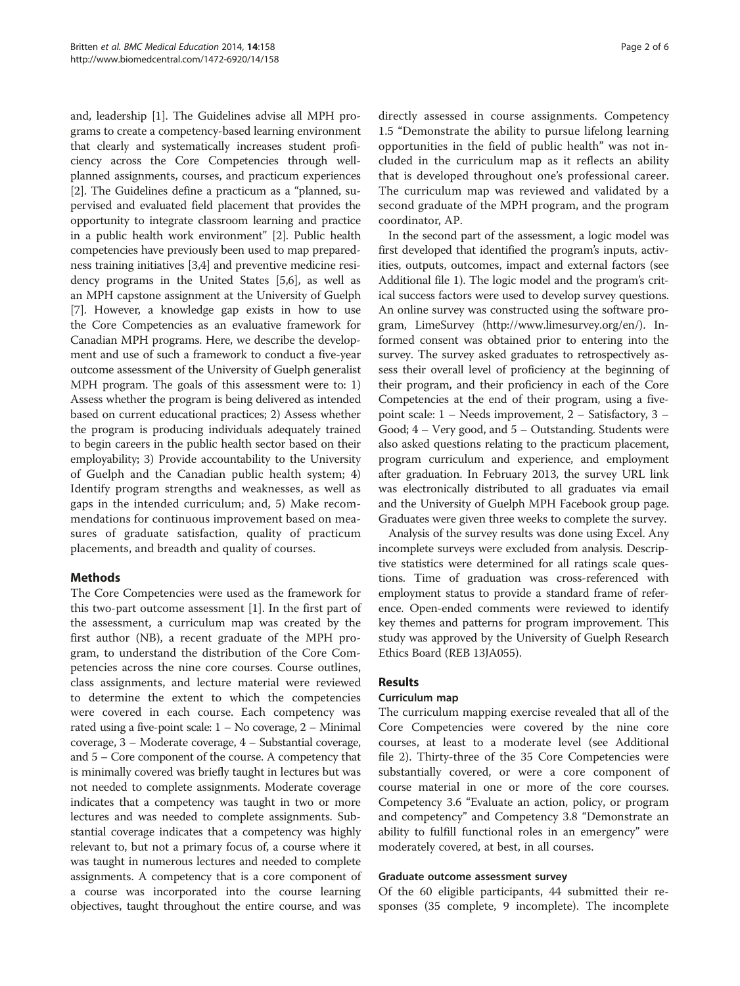and, leadership [\[1](#page-5-0)]. The Guidelines advise all MPH programs to create a competency-based learning environment that clearly and systematically increases student proficiency across the Core Competencies through wellplanned assignments, courses, and practicum experiences [[2\]](#page-5-0). The Guidelines define a practicum as a "planned, supervised and evaluated field placement that provides the opportunity to integrate classroom learning and practice in a public health work environment" [\[2](#page-5-0)]. Public health competencies have previously been used to map preparedness training initiatives [\[3,4](#page-5-0)] and preventive medicine residency programs in the United States [\[5,6\]](#page-5-0), as well as an MPH capstone assignment at the University of Guelph [[7\]](#page-5-0). However, a knowledge gap exists in how to use the Core Competencies as an evaluative framework for Canadian MPH programs. Here, we describe the development and use of such a framework to conduct a five-year outcome assessment of the University of Guelph generalist MPH program. The goals of this assessment were to: 1) Assess whether the program is being delivered as intended based on current educational practices; 2) Assess whether the program is producing individuals adequately trained to begin careers in the public health sector based on their employability; 3) Provide accountability to the University of Guelph and the Canadian public health system; 4) Identify program strengths and weaknesses, as well as gaps in the intended curriculum; and, 5) Make recommendations for continuous improvement based on measures of graduate satisfaction, quality of practicum placements, and breadth and quality of courses.

# Methods

The Core Competencies were used as the framework for this two-part outcome assessment [[1\]](#page-5-0). In the first part of the assessment, a curriculum map was created by the first author (NB), a recent graduate of the MPH program, to understand the distribution of the Core Competencies across the nine core courses. Course outlines, class assignments, and lecture material were reviewed to determine the extent to which the competencies were covered in each course. Each competency was rated using a five-point scale:  $1 - No$  coverage,  $2 - Minimal$ coverage, 3 – Moderate coverage, 4 – Substantial coverage, and 5 – Core component of the course. A competency that is minimally covered was briefly taught in lectures but was not needed to complete assignments. Moderate coverage indicates that a competency was taught in two or more lectures and was needed to complete assignments. Substantial coverage indicates that a competency was highly relevant to, but not a primary focus of, a course where it was taught in numerous lectures and needed to complete assignments. A competency that is a core component of a course was incorporated into the course learning objectives, taught throughout the entire course, and was directly assessed in course assignments. Competency 1.5 "Demonstrate the ability to pursue lifelong learning opportunities in the field of public health" was not included in the curriculum map as it reflects an ability that is developed throughout one's professional career. The curriculum map was reviewed and validated by a second graduate of the MPH program, and the program coordinator, AP.

In the second part of the assessment, a logic model was first developed that identified the program's inputs, activities, outputs, outcomes, impact and external factors (see Additional file [1\)](#page-4-0). The logic model and the program's critical success factors were used to develop survey questions. An online survey was constructed using the software program, LimeSurvey (<http://www.limesurvey.org/en/>). Informed consent was obtained prior to entering into the survey. The survey asked graduates to retrospectively assess their overall level of proficiency at the beginning of their program, and their proficiency in each of the Core Competencies at the end of their program, using a fivepoint scale: 1 – Needs improvement, 2 – Satisfactory, 3 – Good; 4 – Very good, and 5 – Outstanding. Students were also asked questions relating to the practicum placement, program curriculum and experience, and employment after graduation. In February 2013, the survey URL link was electronically distributed to all graduates via email and the University of Guelph MPH Facebook group page. Graduates were given three weeks to complete the survey.

Analysis of the survey results was done using Excel. Any incomplete surveys were excluded from analysis. Descriptive statistics were determined for all ratings scale questions. Time of graduation was cross-referenced with employment status to provide a standard frame of reference. Open-ended comments were reviewed to identify key themes and patterns for program improvement. This study was approved by the University of Guelph Research Ethics Board (REB 13JA055).

# Results

# Curriculum map

The curriculum mapping exercise revealed that all of the Core Competencies were covered by the nine core courses, at least to a moderate level (see Additional file [2](#page-4-0)). Thirty-three of the 35 Core Competencies were substantially covered, or were a core component of course material in one or more of the core courses. Competency 3.6 "Evaluate an action, policy, or program and competency" and Competency 3.8 "Demonstrate an ability to fulfill functional roles in an emergency" were moderately covered, at best, in all courses.

#### Graduate outcome assessment survey

Of the 60 eligible participants, 44 submitted their responses (35 complete, 9 incomplete). The incomplete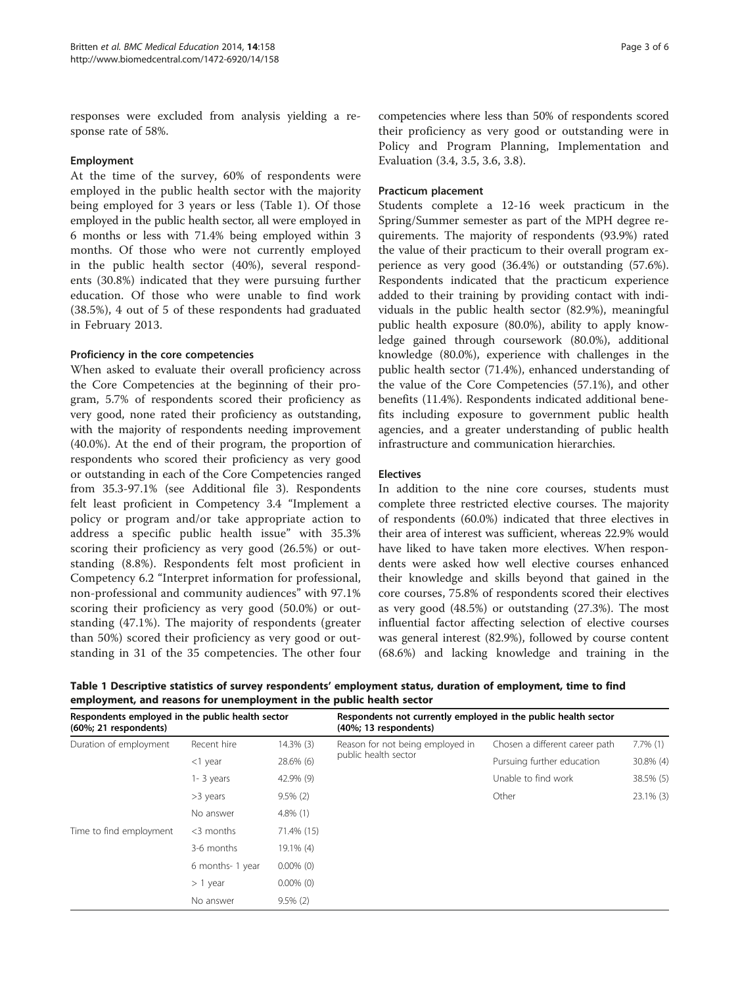responses were excluded from analysis yielding a response rate of 58%.

#### Employment

At the time of the survey, 60% of respondents were employed in the public health sector with the majority being employed for 3 years or less (Table 1). Of those employed in the public health sector, all were employed in 6 months or less with 71.4% being employed within 3 months. Of those who were not currently employed in the public health sector (40%), several respondents (30.8%) indicated that they were pursuing further education. Of those who were unable to find work (38.5%), 4 out of 5 of these respondents had graduated in February 2013.

#### Proficiency in the core competencies

When asked to evaluate their overall proficiency across the Core Competencies at the beginning of their program, 5.7% of respondents scored their proficiency as very good, none rated their proficiency as outstanding, with the majority of respondents needing improvement (40.0%). At the end of their program, the proportion of respondents who scored their proficiency as very good or outstanding in each of the Core Competencies ranged from 35.3-97.1% (see Additional file [3](#page-5-0)). Respondents felt least proficient in Competency 3.4 "Implement a policy or program and/or take appropriate action to address a specific public health issue" with 35.3% scoring their proficiency as very good (26.5%) or outstanding (8.8%). Respondents felt most proficient in Competency 6.2 "Interpret information for professional, non-professional and community audiences" with 97.1% scoring their proficiency as very good (50.0%) or outstanding (47.1%). The majority of respondents (greater than 50%) scored their proficiency as very good or outstanding in 31 of the 35 competencies. The other four competencies where less than 50% of respondents scored their proficiency as very good or outstanding were in Policy and Program Planning, Implementation and Evaluation (3.4, 3.5, 3.6, 3.8).

#### Practicum placement

Students complete a 12-16 week practicum in the Spring/Summer semester as part of the MPH degree requirements. The majority of respondents (93.9%) rated the value of their practicum to their overall program experience as very good (36.4%) or outstanding (57.6%). Respondents indicated that the practicum experience added to their training by providing contact with individuals in the public health sector (82.9%), meaningful public health exposure (80.0%), ability to apply knowledge gained through coursework (80.0%), additional knowledge (80.0%), experience with challenges in the public health sector (71.4%), enhanced understanding of the value of the Core Competencies (57.1%), and other benefits (11.4%). Respondents indicated additional benefits including exposure to government public health agencies, and a greater understanding of public health infrastructure and communication hierarchies.

# Electives

In addition to the nine core courses, students must complete three restricted elective courses. The majority of respondents (60.0%) indicated that three electives in their area of interest was sufficient, whereas 22.9% would have liked to have taken more electives. When respondents were asked how well elective courses enhanced their knowledge and skills beyond that gained in the core courses, 75.8% of respondents scored their electives as very good (48.5%) or outstanding (27.3%). The most influential factor affecting selection of elective courses was general interest (82.9%), followed by course content (68.6%) and lacking knowledge and training in the

Table 1 Descriptive statistics of survey respondents' employment status, duration of employment, time to find employment, and reasons for unemployment in the public health sector

| Respondents employed in the public health sector<br>$(60\%; 21$ respondents) |                  |              | Respondents not currently employed in the public health sector<br>$(40\%; 13$ respondents) |                                |              |
|------------------------------------------------------------------------------|------------------|--------------|--------------------------------------------------------------------------------------------|--------------------------------|--------------|
| Duration of employment                                                       | Recent hire      | $14.3\%$ (3) | Reason for not being employed in                                                           | Chosen a different career path | $7.7\%$ (1)  |
|                                                                              | $<$ 1 year       | 28.6% (6)    | public health sector                                                                       | Pursuing further education     | 30.8% (4)    |
|                                                                              | $1 - 3$ years    | 42.9% (9)    |                                                                                            | Unable to find work            | 38.5% (5)    |
|                                                                              | $>3$ years       | $9.5\%$ (2)  |                                                                                            | Other                          | $23.1\%$ (3) |
|                                                                              | No answer        | $4.8\%$ (1)  |                                                                                            |                                |              |
| Time to find employment                                                      | $<$ 3 months     | 71.4% (15)   |                                                                                            |                                |              |
|                                                                              | 3-6 months       | 19.1% (4)    |                                                                                            |                                |              |
|                                                                              | 6 months- 1 year | $0.00\%$ (0) |                                                                                            |                                |              |
|                                                                              | $> 1$ year       | $0.00\%$ (0) |                                                                                            |                                |              |
|                                                                              | No answer        | $9.5\%$ (2)  |                                                                                            |                                |              |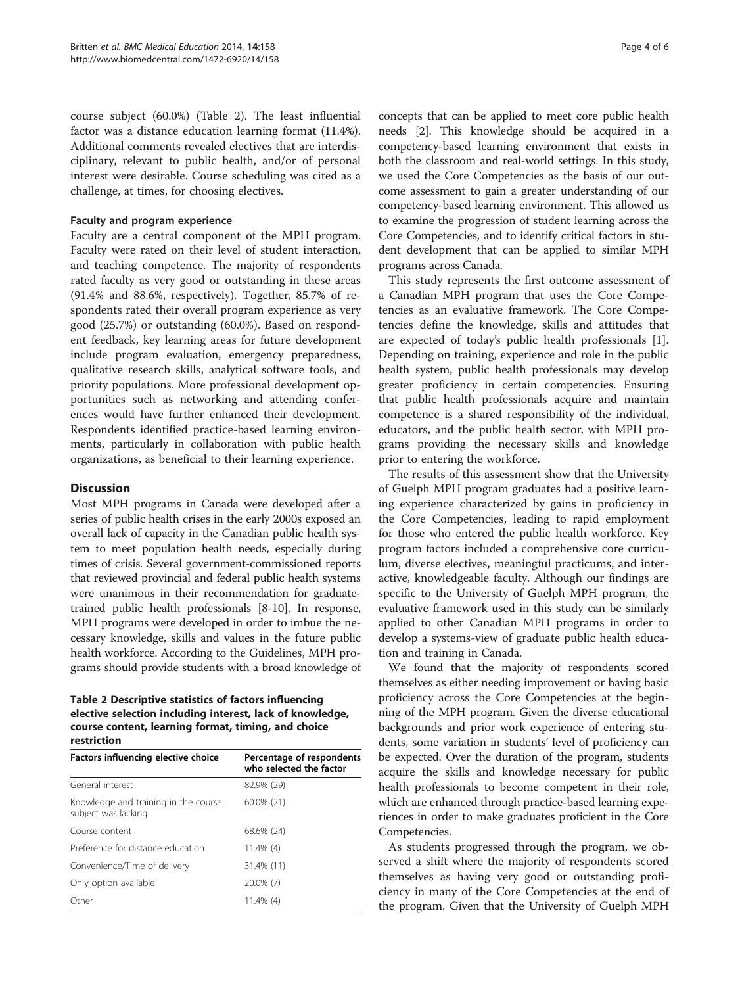course subject (60.0%) (Table 2). The least influential factor was a distance education learning format (11.4%). Additional comments revealed electives that are interdisciplinary, relevant to public health, and/or of personal interest were desirable. Course scheduling was cited as a challenge, at times, for choosing electives.

#### Faculty and program experience

Faculty are a central component of the MPH program. Faculty were rated on their level of student interaction, and teaching competence. The majority of respondents rated faculty as very good or outstanding in these areas (91.4% and 88.6%, respectively). Together, 85.7% of respondents rated their overall program experience as very good (25.7%) or outstanding (60.0%). Based on respondent feedback, key learning areas for future development include program evaluation, emergency preparedness, qualitative research skills, analytical software tools, and priority populations. More professional development opportunities such as networking and attending conferences would have further enhanced their development. Respondents identified practice-based learning environments, particularly in collaboration with public health organizations, as beneficial to their learning experience.

#### **Discussion**

Most MPH programs in Canada were developed after a series of public health crises in the early 2000s exposed an overall lack of capacity in the Canadian public health system to meet population health needs, especially during times of crisis. Several government-commissioned reports that reviewed provincial and federal public health systems were unanimous in their recommendation for graduatetrained public health professionals [[8-10\]](#page-5-0). In response, MPH programs were developed in order to imbue the necessary knowledge, skills and values in the future public health workforce. According to the Guidelines, MPH programs should provide students with a broad knowledge of

Table 2 Descriptive statistics of factors influencing elective selection including interest, lack of knowledge, course content, learning format, timing, and choice restriction

| Factors influencing elective choice                         | Percentage of respondents<br>who selected the factor |  |
|-------------------------------------------------------------|------------------------------------------------------|--|
| General interest                                            | 82.9% (29)                                           |  |
| Knowledge and training in the course<br>subject was lacking | $60.0\%$ (21)                                        |  |
| Course content                                              | 68.6% (24)                                           |  |
| Preference for distance education                           | $11.4\%$ (4)                                         |  |
| Convenience/Time of delivery                                | 31.4% (11)                                           |  |
| Only option available                                       | 20.0% (7)                                            |  |
| Other                                                       | $11.4\%$ (4)                                         |  |

concepts that can be applied to meet core public health needs [\[2](#page-5-0)]. This knowledge should be acquired in a competency-based learning environment that exists in both the classroom and real-world settings. In this study, we used the Core Competencies as the basis of our outcome assessment to gain a greater understanding of our competency-based learning environment. This allowed us to examine the progression of student learning across the Core Competencies, and to identify critical factors in student development that can be applied to similar MPH programs across Canada.

This study represents the first outcome assessment of a Canadian MPH program that uses the Core Competencies as an evaluative framework. The Core Competencies define the knowledge, skills and attitudes that are expected of today's public health professionals [\[1](#page-5-0)]. Depending on training, experience and role in the public health system, public health professionals may develop greater proficiency in certain competencies. Ensuring that public health professionals acquire and maintain competence is a shared responsibility of the individual, educators, and the public health sector, with MPH programs providing the necessary skills and knowledge prior to entering the workforce.

The results of this assessment show that the University of Guelph MPH program graduates had a positive learning experience characterized by gains in proficiency in the Core Competencies, leading to rapid employment for those who entered the public health workforce. Key program factors included a comprehensive core curriculum, diverse electives, meaningful practicums, and interactive, knowledgeable faculty. Although our findings are specific to the University of Guelph MPH program, the evaluative framework used in this study can be similarly applied to other Canadian MPH programs in order to develop a systems-view of graduate public health education and training in Canada.

We found that the majority of respondents scored themselves as either needing improvement or having basic proficiency across the Core Competencies at the beginning of the MPH program. Given the diverse educational backgrounds and prior work experience of entering students, some variation in students' level of proficiency can be expected. Over the duration of the program, students acquire the skills and knowledge necessary for public health professionals to become competent in their role, which are enhanced through practice-based learning experiences in order to make graduates proficient in the Core Competencies.

As students progressed through the program, we observed a shift where the majority of respondents scored themselves as having very good or outstanding proficiency in many of the Core Competencies at the end of the program. Given that the University of Guelph MPH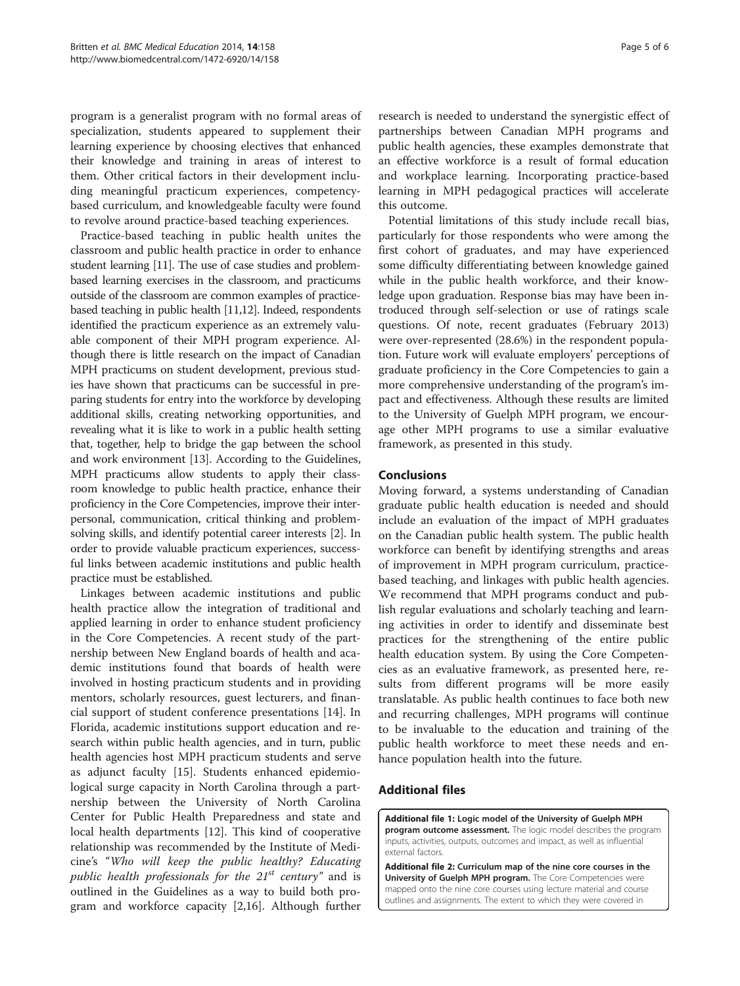<span id="page-4-0"></span>program is a generalist program with no formal areas of specialization, students appeared to supplement their learning experience by choosing electives that enhanced their knowledge and training in areas of interest to them. Other critical factors in their development including meaningful practicum experiences, competencybased curriculum, and knowledgeable faculty were found to revolve around practice-based teaching experiences.

Practice-based teaching in public health unites the classroom and public health practice in order to enhance student learning [\[11](#page-5-0)]. The use of case studies and problembased learning exercises in the classroom, and practicums outside of the classroom are common examples of practicebased teaching in public health [\[11,12\]](#page-5-0). Indeed, respondents identified the practicum experience as an extremely valuable component of their MPH program experience. Although there is little research on the impact of Canadian MPH practicums on student development, previous studies have shown that practicums can be successful in preparing students for entry into the workforce by developing additional skills, creating networking opportunities, and revealing what it is like to work in a public health setting that, together, help to bridge the gap between the school and work environment [[13](#page-5-0)]. According to the Guidelines, MPH practicums allow students to apply their classroom knowledge to public health practice, enhance their proficiency in the Core Competencies, improve their interpersonal, communication, critical thinking and problemsolving skills, and identify potential career interests [[2\]](#page-5-0). In order to provide valuable practicum experiences, successful links between academic institutions and public health practice must be established.

Linkages between academic institutions and public health practice allow the integration of traditional and applied learning in order to enhance student proficiency in the Core Competencies. A recent study of the partnership between New England boards of health and academic institutions found that boards of health were involved in hosting practicum students and in providing mentors, scholarly resources, guest lecturers, and financial support of student conference presentations [\[14](#page-5-0)]. In Florida, academic institutions support education and research within public health agencies, and in turn, public health agencies host MPH practicum students and serve as adjunct faculty [[15](#page-5-0)]. Students enhanced epidemiological surge capacity in North Carolina through a partnership between the University of North Carolina Center for Public Health Preparedness and state and local health departments [[12](#page-5-0)]. This kind of cooperative relationship was recommended by the Institute of Medicine's "Who will keep the public healthy? Educating *public health professionals for the*  $21^{st}$  *century*" and is outlined in the Guidelines as a way to build both program and workforce capacity [[2,16\]](#page-5-0). Although further

research is needed to understand the synergistic effect of partnerships between Canadian MPH programs and public health agencies, these examples demonstrate that an effective workforce is a result of formal education and workplace learning. Incorporating practice-based learning in MPH pedagogical practices will accelerate this outcome.

Potential limitations of this study include recall bias, particularly for those respondents who were among the first cohort of graduates, and may have experienced some difficulty differentiating between knowledge gained while in the public health workforce, and their knowledge upon graduation. Response bias may have been introduced through self-selection or use of ratings scale questions. Of note, recent graduates (February 2013) were over-represented (28.6%) in the respondent population. Future work will evaluate employers' perceptions of graduate proficiency in the Core Competencies to gain a more comprehensive understanding of the program's impact and effectiveness. Although these results are limited to the University of Guelph MPH program, we encourage other MPH programs to use a similar evaluative framework, as presented in this study.

#### Conclusions

Moving forward, a systems understanding of Canadian graduate public health education is needed and should include an evaluation of the impact of MPH graduates on the Canadian public health system. The public health workforce can benefit by identifying strengths and areas of improvement in MPH program curriculum, practicebased teaching, and linkages with public health agencies. We recommend that MPH programs conduct and publish regular evaluations and scholarly teaching and learning activities in order to identify and disseminate best practices for the strengthening of the entire public health education system. By using the Core Competencies as an evaluative framework, as presented here, results from different programs will be more easily translatable. As public health continues to face both new and recurring challenges, MPH programs will continue to be invaluable to the education and training of the public health workforce to meet these needs and enhance population health into the future.

# Additional files

[Additional file 1:](http://www.biomedcentral.com/content/supplementary/1472-6920-14-158-S1.pdf) Logic model of the University of Guelph MPH program outcome assessment. The logic model describes the program inputs, activities, outputs, outcomes and impact, as well as influential external factors.

[Additional file 2:](http://www.biomedcentral.com/content/supplementary/1472-6920-14-158-S2.pdf) Curriculum map of the nine core courses in the University of Guelph MPH program. The Core Competencies were mapped onto the nine core courses using lecture material and course outlines and assignments. The extent to which they were covered in